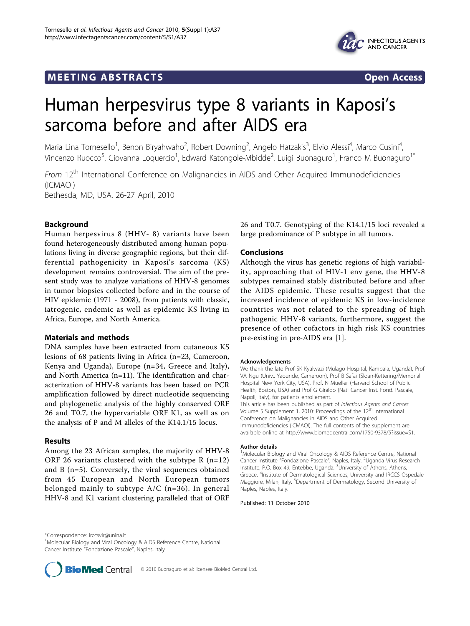# **MEETING ABSTRACTS** THE RESERVING ABSTRACT STATES OPEN ACCESS





# Human herpesvirus type 8 variants in Kaposi's sarcoma before and after AIDS era

Maria Lina Tornesello<sup>1</sup>, Benon Biryahwaho<sup>2</sup>, Robert Downing<sup>2</sup>, Angelo Hatzakis<sup>3</sup>, Elvio Alessi<sup>4</sup>, Marco Cusini<sup>4</sup> , Vincenzo Ruocco<sup>5</sup>, Giovanna Loquercio<sup>1</sup>, Edward Katongole-Mbidde<sup>2</sup>, Luigi Buonaguro<sup>1</sup>, Franco M Buonaguro<sup>1\*</sup>

From 12<sup>th</sup> International Conference on Malignancies in AIDS and Other Acquired Immunodeficiencies (ICMAOI) Bethesda, MD, USA. 26-27 April, 2010

# Background

Human herpesvirus 8 (HHV- 8) variants have been found heterogeneously distributed among human populations living in diverse geographic regions, but their differential pathogenicity in Kaposi's sarcoma (KS) development remains controversial. The aim of the present study was to analyze variations of HHV-8 genomes in tumor biopsies collected before and in the course of HIV epidemic (1971 - 2008), from patients with classic, iatrogenic, endemic as well as epidemic KS living in Africa, Europe, and North America.

# Materials and methods

DNA samples have been extracted from cutaneous KS lesions of 68 patients living in Africa (n=23, Cameroon, Kenya and Uganda), Europe (n=34, Greece and Italy), and North America (n=11). The identification and characterization of HHV-8 variants has been based on PCR amplification followed by direct nucleotide sequencing and phylogenetic analysis of the highly conserved ORF 26 and T0.7, the hypervariable ORF K1, as well as on the analysis of P and M alleles of the K14.1/15 locus.

# Results

Among the 23 African samples, the majority of HHV-8 ORF 26 variants clustered with the subtype R  $(n=12)$ and B (n=5). Conversely, the viral sequences obtained from 45 European and North European tumors belonged mainly to subtype  $A/C$  (n=36). In general HHV-8 and K1 variant clustering paralleled that of ORF

26 and T0.7. Genotyping of the K14.1/15 loci revealed a large predominance of P subtype in all tumors.

# Conclusions

Although the virus has genetic regions of high variability, approaching that of HIV-1 env gene, the HHV-8 subtypes remained stably distributed before and after the AIDS epidemic. These results suggest that the increased incidence of epidemic KS in low-incidence countries was not related to the spreading of high pathogenic HHV-8 variants, furthermore, suggest the presence of other cofactors in high risk KS countries pre-existing in pre-AIDS era [\[1](#page-1-0)].

#### Acknowledgements

We thank the late Prof SK Kyalwazi (Mulago Hospital, Kampala, Uganda), Prof VA Ngu (Univ., Yaounde, Cameroon), Prof B Safai (Sloan-Kettering/Memorial Hospital New York City, USA), Prof. N Mueller (Harvard School of Public Health, Boston, USA) and Prof G Giraldo (Natl Cancer Inst. Fond. Pascale, Napoli, Italy), for patients enrollement. This article has been published as part of Infectious Agents and Cancer Volume 5 Supplement 1, 2010: Proceedings of the 12<sup>th</sup> International Conference on Malignancies in AIDS and Other Acquired Immunodeficiencies (ICMAOI). The full contents of the supplement are available online at [http://www.biomedcentral.com/1750-9378/5?issue=S1.](http://www.biomedcentral.com/1750-9378/5?issue=S1)

#### Author details

<sup>1</sup>Molecular Biology and Viral Oncology & AIDS Reference Centre, National Cancer Institute "Fondazione Pascale", Naples, Italy. <sup>2</sup>Uganda Virus Research Institute, P.O. Box 49, Entebbe, Uganda. <sup>3</sup>University of Athens, Athens, Greece. <sup>4</sup>Institute of Dermatological Sciences, University and IRCCS Ospedale Maggiore, Milan, Italy. <sup>5</sup>Department of Dermatology, Second University of Naples, Naples, Italy.

Published: 11 October 2010

<sup>&</sup>lt;sup>1</sup>Molecular Biology and Viral Oncology & AIDS Reference Centre, National Cancer Institute "Fondazione Pascale", Naples, Italy



<sup>\*</sup>Correspondence: [irccsvir@unina.it](mailto:irccsvir@unina.it)